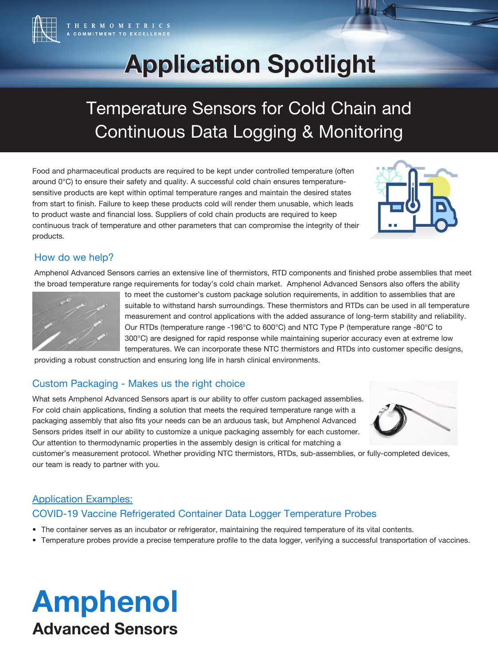

# **Application Spotlight Application Spotlight**

## Temperature Sensors for Cold Chain and Continuous Data Logging & Monitoring

Food and pharmaceutical products are required to be kept under controlled temperature (often around 0°C) to ensure their safety and quality. A successful cold chain ensures temperaturesensitive products are kept within optimal temperature ranges and maintain the desired states from start to finish. Failure to keep these products cold will render them unusable, which leads to product waste and financial loss. Suppliers of cold chain products are required to keep continuous track of temperature and other parameters that can compromise the integrity of their products.



## How do we help?

Amphenol Advanced Sensors carries an extensive line of thermistors, RTD components and finished probe assemblies that meet the broad temperature range requirements for today's cold chain market. Amphenol Advanced Sensors also offers the ability



to meet the customer's custom package solution requirements, in addition to assemblies that are suitable to withstand harsh surroundings. These thermistors and RTDs can be used in all temperature measurement and control applications with the added assurance of long-term stability and reliability. Our RTDs (temperature range -196°C to 600°C) and NTC Type P (temperature range -80°C to 300°C) are designed for rapid response while maintaining superior accuracy even at extreme low temperatures. We can incorporate these NTC thermistors and RTDs into customer specific designs,

providing a robust construction and ensuring long life in harsh clinical environments.

## Custom Packaging - Makes us the right choice

What sets Amphenol Advanced Sensors apart is our ability to offer custom packaged assemblies. For cold chain applications, finding a solution that meets the required temperature range with a packaging assembly that also fits your needs can be an arduous task, but Amphenol Advanced Sensors prides itself in our ability to customize a unique packaging assembly for each customer. Our attention to thermodynamic properties in the assembly design is critical for matching a



customer's measurement protocol. Whether providing NTC thermistors, RTDs, sub-assemblies, or fully-completed devices, our team is ready to partner with you.

## Application Examples: COVID-19 Vaccine Refrigerated Container Data Logger Temperature Probes

- The container serves as an incubator or refrigerator, maintaining the required temperature of its vital contents.
- Temperature probes provide a precise temperature profile to the data logger, verifying a successful transportation of vaccines.

## Amphenol Advanced Sensors